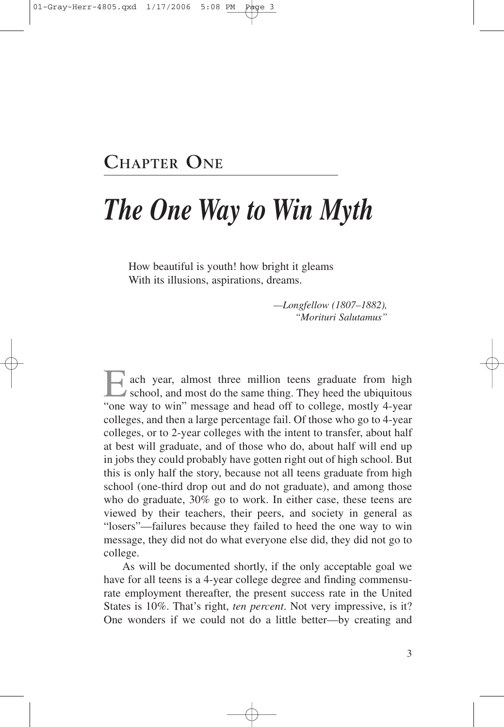## **CHAPTER ONE**

# *The One Way to Win Myth*

How beautiful is youth! how bright it gleams With its illusions, aspirations, dreams.

> *—Longfellow (1807–1882), "Morituri Salutamus"*

ach year, almost three million teens graduate from high school, and most do the same thing. They heed the ubiquitous "one way to win" message and head off to college, mostly 4-year colleges, and then a large percentage fail. Of those who go to 4-year colleges, or to 2-year colleges with the intent to transfer, about half at best will graduate, and of those who do, about half will end up in jobs they could probably have gotten right out of high school. But this is only half the story, because not all teens graduate from high school (one-third drop out and do not graduate), and among those who do graduate, 30% go to work. In either case, these teens are viewed by their teachers, their peers, and society in general as "losers"—failures because they failed to heed the one way to win message, they did not do what everyone else did, they did not go to college.

As will be documented shortly, if the only acceptable goal we have for all teens is a 4-year college degree and finding commensurate employment thereafter, the present success rate in the United States is 10%. That's right, *ten percent*. Not very impressive, is it? One wonders if we could not do a little better—by creating and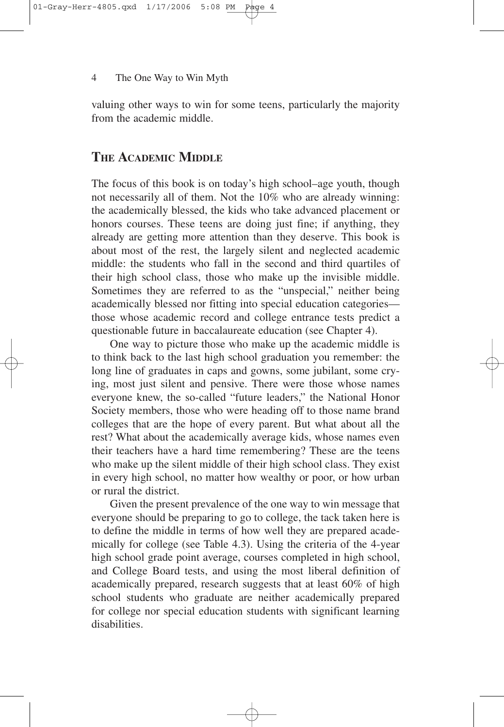valuing other ways to win for some teens, particularly the majority from the academic middle.

### **THE ACADEMIC MIDDLE**

The focus of this book is on today's high school–age youth, though not necessarily all of them. Not the 10% who are already winning: the academically blessed, the kids who take advanced placement or honors courses. These teens are doing just fine; if anything, they already are getting more attention than they deserve. This book is about most of the rest, the largely silent and neglected academic middle: the students who fall in the second and third quartiles of their high school class, those who make up the invisible middle. Sometimes they are referred to as the "unspecial," neither being academically blessed nor fitting into special education categories those whose academic record and college entrance tests predict a questionable future in baccalaureate education (see Chapter 4).

One way to picture those who make up the academic middle is to think back to the last high school graduation you remember: the long line of graduates in caps and gowns, some jubilant, some crying, most just silent and pensive. There were those whose names everyone knew, the so-called "future leaders," the National Honor Society members, those who were heading off to those name brand colleges that are the hope of every parent. But what about all the rest? What about the academically average kids, whose names even their teachers have a hard time remembering? These are the teens who make up the silent middle of their high school class. They exist in every high school, no matter how wealthy or poor, or how urban or rural the district.

Given the present prevalence of the one way to win message that everyone should be preparing to go to college, the tack taken here is to define the middle in terms of how well they are prepared academically for college (see Table 4.3). Using the criteria of the 4-year high school grade point average, courses completed in high school, and College Board tests, and using the most liberal definition of academically prepared, research suggests that at least 60% of high school students who graduate are neither academically prepared for college nor special education students with significant learning disabilities.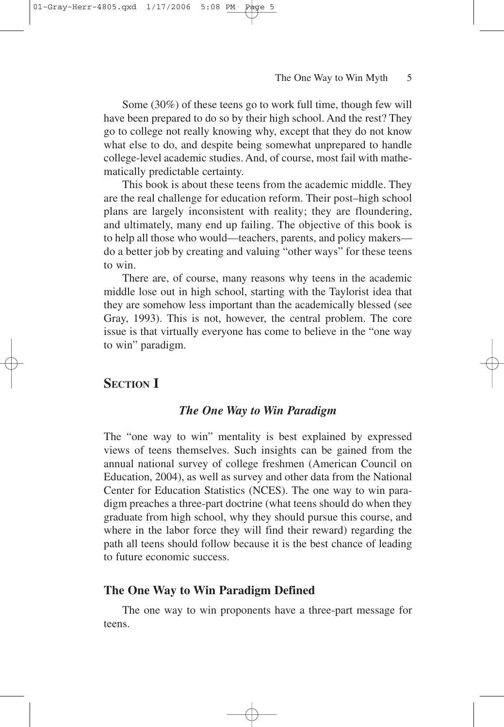Some (30%) of these teens go to work full time, though few will have been prepared to do so by their high school. And the rest? They go to college not really knowing why, except that they do not know what else to do, and despite being somewhat unprepared to handle college-level academic studies. And, of course, most fail with mathematically predictable certainty.

This book is about these teens from the academic middle. They are the real challenge for education reform. Their post–high school plans are largely inconsistent with reality; they are floundering, and ultimately, many end up failing. The objective of this book is to help all those who would—teachers, parents, and policy makers do a better job by creating and valuing "other ways" for these teens to win.

There are, of course, many reasons why teens in the academic middle lose out in high school, starting with the Taylorist idea that they are somehow less important than the academically blessed (see Gray, 1993). This is not, however, the central problem. The core issue is that virtually everyone has come to believe in the "one way to win" paradigm.

### **SECTION I**

### *The One Way to Win Paradigm*

The "one way to win" mentality is best explained by expressed views of teens themselves. Such insights can be gained from the annual national survey of college freshmen (American Council on Education, 2004), as well as survey and other data from the National Center for Education Statistics (NCES). The one way to win paradigm preaches a three-part doctrine (what teens should do when they graduate from high school, why they should pursue this course, and where in the labor force they will find their reward) regarding the path all teens should follow because it is the best chance of leading to future economic success.

### **The One Way to Win Paradigm Defined**

The one way to win proponents have a three-part message for teens.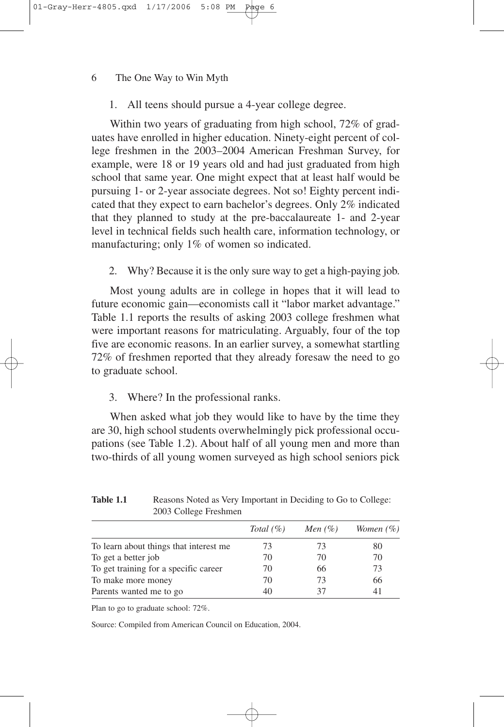1. All teens should pursue a 4-year college degree.

Within two years of graduating from high school, 72% of graduates have enrolled in higher education. Ninety-eight percent of college freshmen in the 2003–2004 American Freshman Survey, for example, were 18 or 19 years old and had just graduated from high school that same year. One might expect that at least half would be pursuing 1- or 2-year associate degrees. Not so! Eighty percent indicated that they expect to earn bachelor's degrees. Only 2% indicated that they planned to study at the pre-baccalaureate 1- and 2-year level in technical fields such health care, information technology, or manufacturing; only 1% of women so indicated.

2. Why? Because it is the only sure way to get a high-paying job.

Most young adults are in college in hopes that it will lead to future economic gain—economists call it "labor market advantage." Table 1.1 reports the results of asking 2003 college freshmen what were important reasons for matriculating. Arguably, four of the top five are economic reasons. In an earlier survey, a somewhat startling 72% of freshmen reported that they already foresaw the need to go to graduate school.

3. Where? In the professional ranks.

When asked what job they would like to have by the time they are 30, high school students overwhelmingly pick professional occupations (see Table 1.2). About half of all young men and more than two-thirds of all young women surveyed as high school seniors pick

|                                        | Total $(\% )$ | Men $(\%)$ | Women $(\% )$ |
|----------------------------------------|---------------|------------|---------------|
| To learn about things that interest me | 73            | 73         | 80            |
| To get a better job                    | 70            | 70         | 70            |
| To get training for a specific career  | 70            | 66         | 73            |
| To make more money                     | 70            | 73         | 66            |
| Parents wanted me to go                | 40            | 37         |               |

Table 1.1 Reasons Noted as Very Important in Deciding to Go to College: 2003 College Freshmen

Plan to go to graduate school: 72%.

Source: Compiled from American Council on Education, 2004.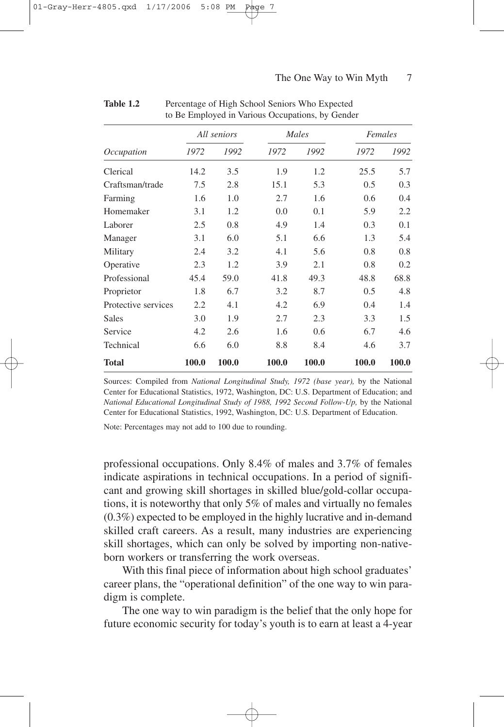| <i>Occupation</i>   | All seniors |       |       | Males |       | Females |  |
|---------------------|-------------|-------|-------|-------|-------|---------|--|
|                     | 1972        | 1992  | 1972  | 1992  | 1972  | 1992    |  |
| Clerical            | 14.2        | 3.5   | 1.9   | 1.2   | 25.5  | 5.7     |  |
| Craftsman/trade     | 7.5         | 2.8   | 15.1  | 5.3   | 0.5   | 0.3     |  |
| Farming             | 1.6         | 1.0   | 2.7   | 1.6   | 0.6   | 0.4     |  |
| Homemaker           | 3.1         | 1.2   | 0.0   | 0.1   | 5.9   | 2.2     |  |
| Laborer             | 2.5         | 0.8   | 4.9   | 1.4   | 0.3   | 0.1     |  |
| Manager             | 3.1         | 6.0   | 5.1   | 6.6   | 1.3   | 5.4     |  |
| Military            | 2.4         | 3.2   | 4.1   | 5.6   | 0.8   | 0.8     |  |
| Operative           | 2.3         | 1.2   | 3.9   | 2.1   | 0.8   | 0.2     |  |
| Professional        | 45.4        | 59.0  | 41.8  | 49.3  | 48.8  | 68.8    |  |
| Proprietor          | 1.8         | 6.7   | 3.2   | 8.7   | 0.5   | 4.8     |  |
| Protective services | 2.2         | 4.1   | 4.2   | 6.9   | 0.4   | 1.4     |  |
| Sales               | 3.0         | 1.9   | 2.7   | 2.3   | 3.3   | 1.5     |  |
| Service             | 4.2         | 2.6   | 1.6   | 0.6   | 6.7   | 4.6     |  |
| Technical           | 6.6         | 6.0   | 8.8   | 8.4   | 4.6   | 3.7     |  |
| <b>Total</b>        | 100.0       | 100.0 | 100.0 | 100.0 | 100.0 | 100.0   |  |

| <b>Table 1.2</b> | Percentage of High School Seniors Who Expected   |
|------------------|--------------------------------------------------|
|                  | to Be Employed in Various Occupations, by Gender |

Sources: Compiled from *National Longitudinal Study, 1972 (base year),* by the National Center for Educational Statistics, 1972, Washington, DC: U.S. Department of Education; and *National Educational Longitudinal Study of 1988, 1992 Second Follow-Up,* by the National Center for Educational Statistics, 1992, Washington, DC: U.S. Department of Education.

Note: Percentages may not add to 100 due to rounding.

professional occupations. Only 8.4% of males and 3.7% of females indicate aspirations in technical occupations. In a period of significant and growing skill shortages in skilled blue/gold-collar occupations, it is noteworthy that only 5% of males and virtually no females (0.3%) expected to be employed in the highly lucrative and in-demand skilled craft careers. As a result, many industries are experiencing skill shortages, which can only be solved by importing non-nativeborn workers or transferring the work overseas.

With this final piece of information about high school graduates' career plans, the "operational definition" of the one way to win paradigm is complete.

The one way to win paradigm is the belief that the only hope for future economic security for today's youth is to earn at least a 4-year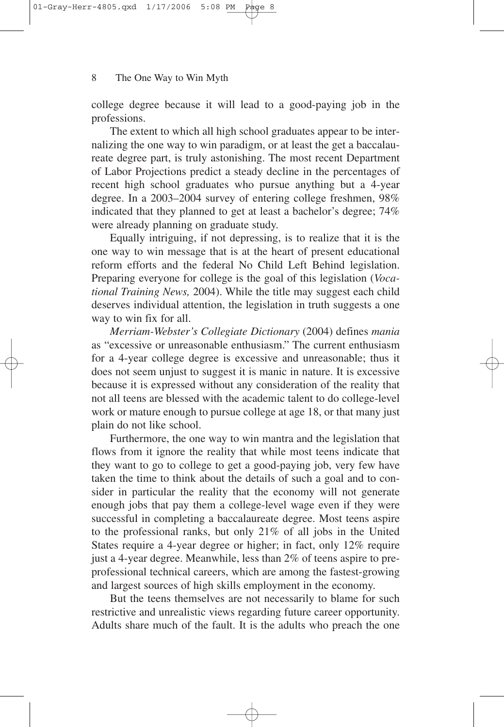college degree because it will lead to a good-paying job in the professions.

The extent to which all high school graduates appear to be internalizing the one way to win paradigm, or at least the get a baccalaureate degree part, is truly astonishing. The most recent Department of Labor Projections predict a steady decline in the percentages of recent high school graduates who pursue anything but a 4-year degree. In a 2003–2004 survey of entering college freshmen, 98% indicated that they planned to get at least a bachelor's degree; 74% were already planning on graduate study.

Equally intriguing, if not depressing, is to realize that it is the one way to win message that is at the heart of present educational reform efforts and the federal No Child Left Behind legislation. Preparing everyone for college is the goal of this legislation (*Vocational Training News,* 2004). While the title may suggest each child deserves individual attention, the legislation in truth suggests a one way to win fix for all.

*Merriam-Webster's Collegiate Dictionary* (2004) defines *mania* as "excessive or unreasonable enthusiasm." The current enthusiasm for a 4-year college degree is excessive and unreasonable; thus it does not seem unjust to suggest it is manic in nature. It is excessive because it is expressed without any consideration of the reality that not all teens are blessed with the academic talent to do college-level work or mature enough to pursue college at age 18, or that many just plain do not like school.

Furthermore, the one way to win mantra and the legislation that flows from it ignore the reality that while most teens indicate that they want to go to college to get a good-paying job, very few have taken the time to think about the details of such a goal and to consider in particular the reality that the economy will not generate enough jobs that pay them a college-level wage even if they were successful in completing a baccalaureate degree. Most teens aspire to the professional ranks, but only 21% of all jobs in the United States require a 4-year degree or higher; in fact, only 12% require just a 4-year degree. Meanwhile, less than 2% of teens aspire to preprofessional technical careers, which are among the fastest-growing and largest sources of high skills employment in the economy.

But the teens themselves are not necessarily to blame for such restrictive and unrealistic views regarding future career opportunity. Adults share much of the fault. It is the adults who preach the one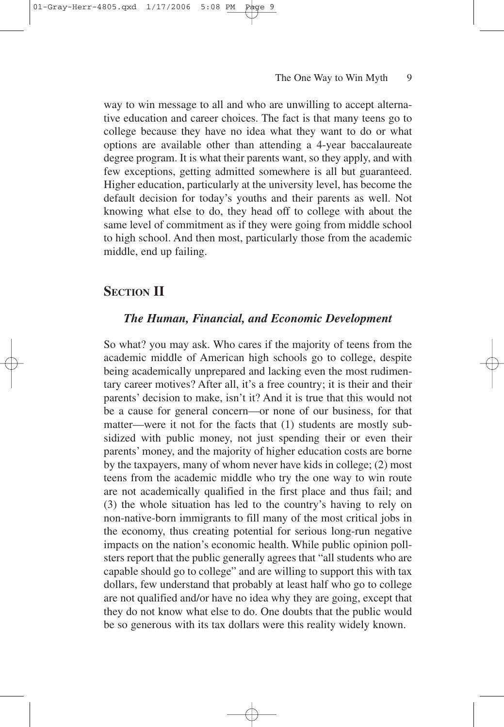way to win message to all and who are unwilling to accept alternative education and career choices. The fact is that many teens go to college because they have no idea what they want to do or what options are available other than attending a 4-year baccalaureate degree program. It is what their parents want, so they apply, and with few exceptions, getting admitted somewhere is all but guaranteed. Higher education, particularly at the university level, has become the default decision for today's youths and their parents as well. Not knowing what else to do, they head off to college with about the same level of commitment as if they were going from middle school to high school. And then most, particularly those from the academic middle, end up failing.

### **SECTION II**

### *The Human, Financial, and Economic Development*

So what? you may ask. Who cares if the majority of teens from the academic middle of American high schools go to college, despite being academically unprepared and lacking even the most rudimentary career motives? After all, it's a free country; it is their and their parents' decision to make, isn't it? And it is true that this would not be a cause for general concern—or none of our business, for that matter—were it not for the facts that (1) students are mostly subsidized with public money, not just spending their or even their parents' money, and the majority of higher education costs are borne by the taxpayers, many of whom never have kids in college; (2) most teens from the academic middle who try the one way to win route are not academically qualified in the first place and thus fail; and (3) the whole situation has led to the country's having to rely on non-native-born immigrants to fill many of the most critical jobs in the economy, thus creating potential for serious long-run negative impacts on the nation's economic health. While public opinion pollsters report that the public generally agrees that "all students who are capable should go to college" and are willing to support this with tax dollars, few understand that probably at least half who go to college are not qualified and/or have no idea why they are going, except that they do not know what else to do. One doubts that the public would be so generous with its tax dollars were this reality widely known.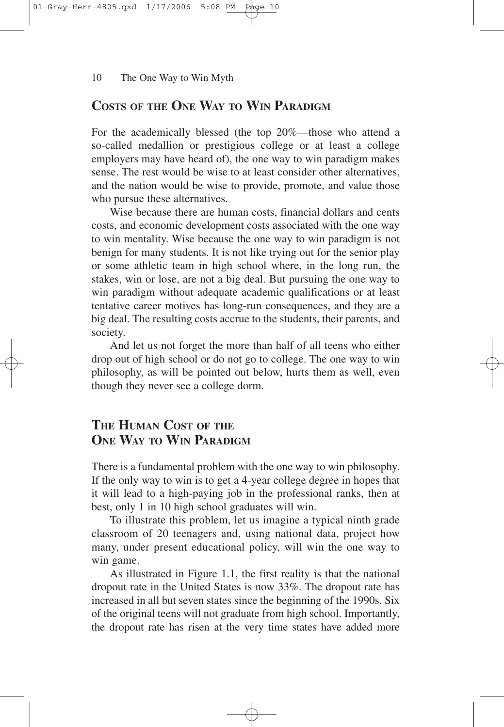### **COSTS OF THE ONE WAY TO WIN PARADIGM**

For the academically blessed (the top 20%—those who attend a so-called medallion or prestigious college or at least a college employers may have heard of), the one way to win paradigm makes sense. The rest would be wise to at least consider other alternatives, and the nation would be wise to provide, promote, and value those who pursue these alternatives.

Wise because there are human costs, financial dollars and cents costs, and economic development costs associated with the one way to win mentality. Wise because the one way to win paradigm is not benign for many students. It is not like trying out for the senior play or some athletic team in high school where, in the long run, the stakes, win or lose, are not a big deal. But pursuing the one way to win paradigm without adequate academic qualifications or at least tentative career motives has long-run consequences, and they are a big deal. The resulting costs accrue to the students, their parents, and society.

And let us not forget the more than half of all teens who either drop out of high school or do not go to college. The one way to win philosophy, as will be pointed out below, hurts them as well, even though they never see a college dorm.

### **THE HUMAN COST OF THE ONE WAY TO WIN PARADIGM**

There is a fundamental problem with the one way to win philosophy. If the only way to win is to get a 4-year college degree in hopes that it will lead to a high-paying job in the professional ranks, then at best, only 1 in 10 high school graduates will win.

To illustrate this problem, let us imagine a typical ninth grade classroom of 20 teenagers and, using national data, project how many, under present educational policy, will win the one way to win game.

As illustrated in Figure 1.1, the first reality is that the national dropout rate in the United States is now 33%. The dropout rate has increased in all but seven states since the beginning of the 1990s. Six of the original teens will not graduate from high school. Importantly, the dropout rate has risen at the very time states have added more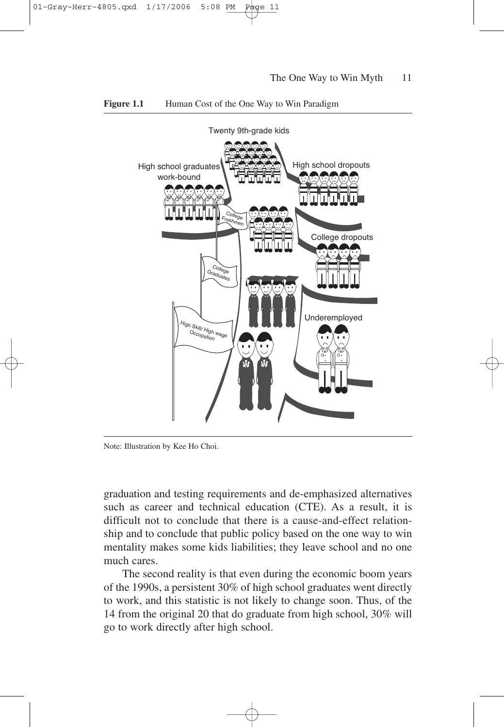

#### **Figure 1.1** Human Cost of the One Way to Win Paradigm

Note: Illustration by Kee Ho Choi.

graduation and testing requirements and de-emphasized alternatives such as career and technical education (CTE). As a result, it is difficult not to conclude that there is a cause-and-effect relationship and to conclude that public policy based on the one way to win mentality makes some kids liabilities; they leave school and no one much cares.

The second reality is that even during the economic boom years of the 1990s, a persistent 30% of high school graduates went directly to work, and this statistic is not likely to change soon. Thus, of the 14 from the original 20 that do graduate from high school, 30% will go to work directly after high school.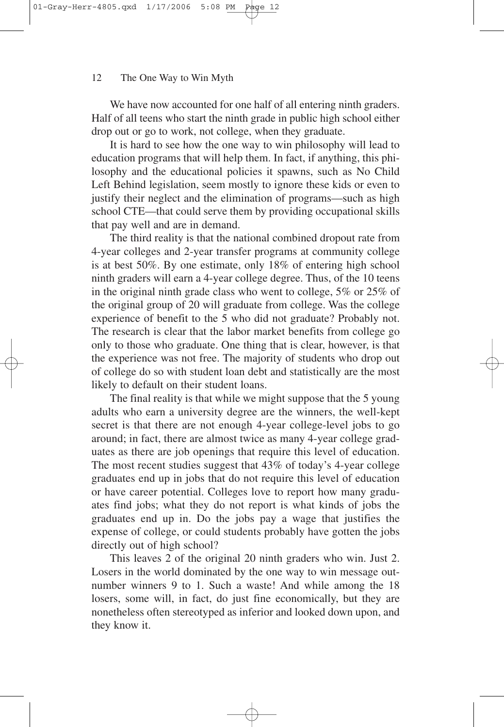We have now accounted for one half of all entering ninth graders. Half of all teens who start the ninth grade in public high school either drop out or go to work, not college, when they graduate.

It is hard to see how the one way to win philosophy will lead to education programs that will help them. In fact, if anything, this philosophy and the educational policies it spawns, such as No Child Left Behind legislation, seem mostly to ignore these kids or even to justify their neglect and the elimination of programs—such as high school CTE—that could serve them by providing occupational skills that pay well and are in demand.

The third reality is that the national combined dropout rate from 4-year colleges and 2-year transfer programs at community college is at best 50%. By one estimate, only 18% of entering high school ninth graders will earn a 4-year college degree. Thus, of the 10 teens in the original ninth grade class who went to college, 5% or 25% of the original group of 20 will graduate from college. Was the college experience of benefit to the 5 who did not graduate? Probably not. The research is clear that the labor market benefits from college go only to those who graduate. One thing that is clear, however, is that the experience was not free. The majority of students who drop out of college do so with student loan debt and statistically are the most likely to default on their student loans.

The final reality is that while we might suppose that the 5 young adults who earn a university degree are the winners, the well-kept secret is that there are not enough 4-year college-level jobs to go around; in fact, there are almost twice as many 4-year college graduates as there are job openings that require this level of education. The most recent studies suggest that 43% of today's 4-year college graduates end up in jobs that do not require this level of education or have career potential. Colleges love to report how many graduates find jobs; what they do not report is what kinds of jobs the graduates end up in. Do the jobs pay a wage that justifies the expense of college, or could students probably have gotten the jobs directly out of high school?

This leaves 2 of the original 20 ninth graders who win. Just 2. Losers in the world dominated by the one way to win message outnumber winners 9 to 1. Such a waste! And while among the 18 losers, some will, in fact, do just fine economically, but they are nonetheless often stereotyped as inferior and looked down upon, and they know it.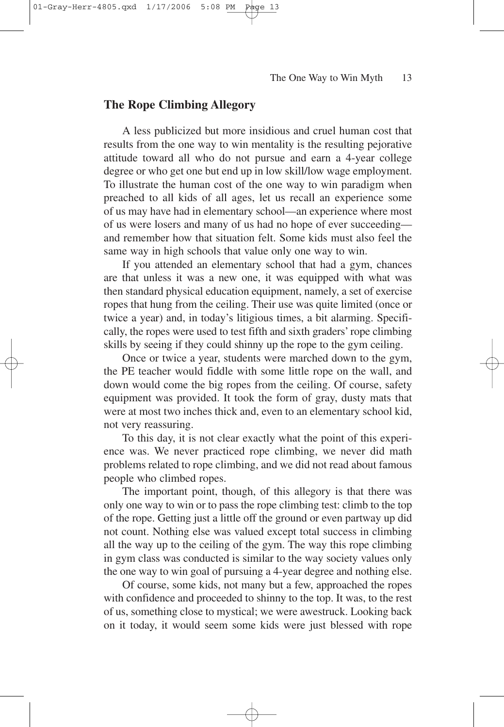### **The Rope Climbing Allegory**

A less publicized but more insidious and cruel human cost that results from the one way to win mentality is the resulting pejorative attitude toward all who do not pursue and earn a 4-year college degree or who get one but end up in low skill/low wage employment. To illustrate the human cost of the one way to win paradigm when preached to all kids of all ages, let us recall an experience some of us may have had in elementary school—an experience where most of us were losers and many of us had no hope of ever succeeding and remember how that situation felt. Some kids must also feel the same way in high schools that value only one way to win.

If you attended an elementary school that had a gym, chances are that unless it was a new one, it was equipped with what was then standard physical education equipment, namely, a set of exercise ropes that hung from the ceiling. Their use was quite limited (once or twice a year) and, in today's litigious times, a bit alarming. Specifically, the ropes were used to test fifth and sixth graders' rope climbing skills by seeing if they could shinny up the rope to the gym ceiling.

Once or twice a year, students were marched down to the gym, the PE teacher would fiddle with some little rope on the wall, and down would come the big ropes from the ceiling. Of course, safety equipment was provided. It took the form of gray, dusty mats that were at most two inches thick and, even to an elementary school kid, not very reassuring.

To this day, it is not clear exactly what the point of this experience was. We never practiced rope climbing, we never did math problems related to rope climbing, and we did not read about famous people who climbed ropes.

The important point, though, of this allegory is that there was only one way to win or to pass the rope climbing test: climb to the top of the rope. Getting just a little off the ground or even partway up did not count. Nothing else was valued except total success in climbing all the way up to the ceiling of the gym. The way this rope climbing in gym class was conducted is similar to the way society values only the one way to win goal of pursuing a 4-year degree and nothing else.

Of course, some kids, not many but a few, approached the ropes with confidence and proceeded to shinny to the top. It was, to the rest of us, something close to mystical; we were awestruck. Looking back on it today, it would seem some kids were just blessed with rope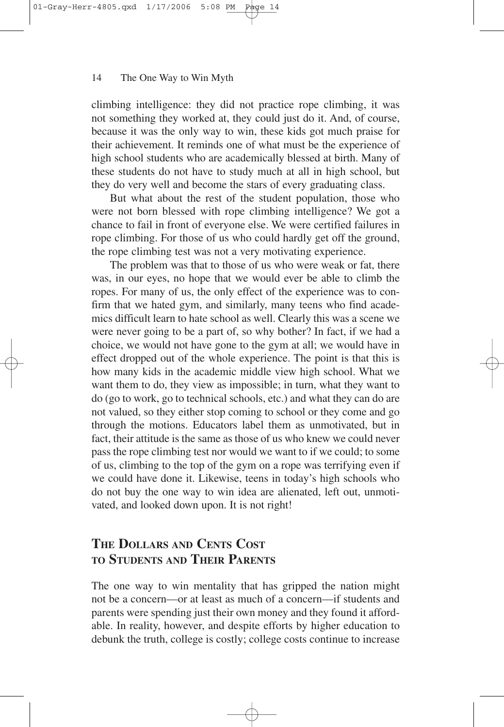climbing intelligence: they did not practice rope climbing, it was not something they worked at, they could just do it. And, of course, because it was the only way to win, these kids got much praise for their achievement. It reminds one of what must be the experience of high school students who are academically blessed at birth. Many of these students do not have to study much at all in high school, but they do very well and become the stars of every graduating class.

But what about the rest of the student population, those who were not born blessed with rope climbing intelligence? We got a chance to fail in front of everyone else. We were certified failures in rope climbing. For those of us who could hardly get off the ground, the rope climbing test was not a very motivating experience.

The problem was that to those of us who were weak or fat, there was, in our eyes, no hope that we would ever be able to climb the ropes. For many of us, the only effect of the experience was to confirm that we hated gym, and similarly, many teens who find academics difficult learn to hate school as well. Clearly this was a scene we were never going to be a part of, so why bother? In fact, if we had a choice, we would not have gone to the gym at all; we would have in effect dropped out of the whole experience. The point is that this is how many kids in the academic middle view high school. What we want them to do, they view as impossible; in turn, what they want to do (go to work, go to technical schools, etc.) and what they can do are not valued, so they either stop coming to school or they come and go through the motions. Educators label them as unmotivated, but in fact, their attitude is the same as those of us who knew we could never pass the rope climbing test nor would we want to if we could; to some of us, climbing to the top of the gym on a rope was terrifying even if we could have done it. Likewise, teens in today's high schools who do not buy the one way to win idea are alienated, left out, unmotivated, and looked down upon. It is not right!

### **THE DOLLARS AND CENTS COST TO STUDENTS AND THEIR PARENTS**

The one way to win mentality that has gripped the nation might not be a concern—or at least as much of a concern—if students and parents were spending just their own money and they found it affordable. In reality, however, and despite efforts by higher education to debunk the truth, college is costly; college costs continue to increase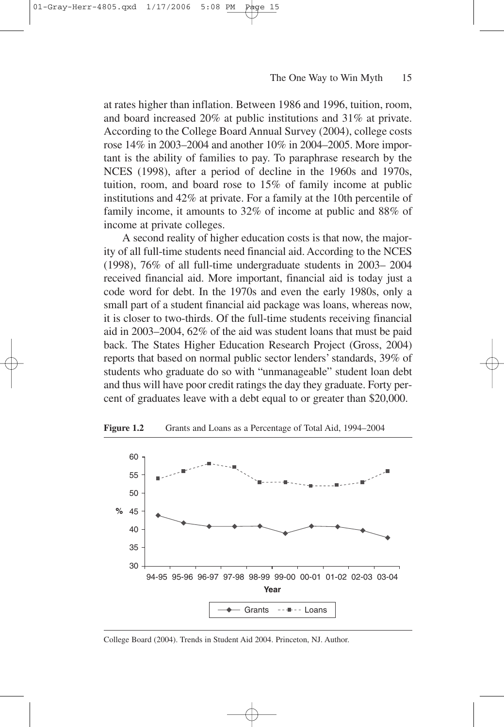at rates higher than inflation. Between 1986 and 1996, tuition, room, and board increased 20% at public institutions and 31% at private. According to the College Board Annual Survey (2004), college costs rose 14% in 2003–2004 and another 10% in 2004–2005. More important is the ability of families to pay. To paraphrase research by the NCES (1998), after a period of decline in the 1960s and 1970s, tuition, room, and board rose to 15% of family income at public institutions and 42% at private. For a family at the 10th percentile of family income, it amounts to 32% of income at public and 88% of income at private colleges.

A second reality of higher education costs is that now, the majority of all full-time students need financial aid. According to the NCES (1998), 76% of all full-time undergraduate students in 2003– 2004 received financial aid. More important, financial aid is today just a code word for debt. In the 1970s and even the early 1980s, only a small part of a student financial aid package was loans, whereas now, it is closer to two-thirds. Of the full-time students receiving financial aid in 2003–2004, 62% of the aid was student loans that must be paid back. The States Higher Education Research Project (Gross, 2004) reports that based on normal public sector lenders' standards, 39% of students who graduate do so with "unmanageable" student loan debt and thus will have poor credit ratings the day they graduate. Forty percent of graduates leave with a debt equal to or greater than \$20,000.



**Figure 1.2** Grants and Loans as a Percentage of Total Aid, 1994–2004

College Board (2004). Trends in Student Aid 2004. Princeton, NJ. Author.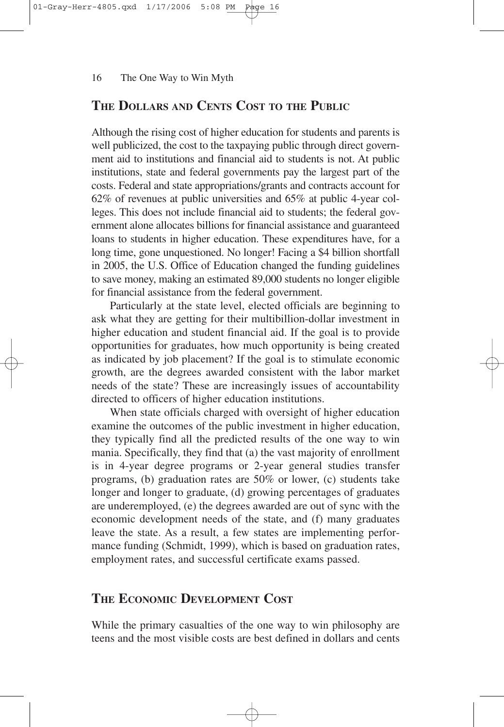### **THE DOLLARS AND CENTS COST TO THE PUBLIC**

Although the rising cost of higher education for students and parents is well publicized, the cost to the taxpaying public through direct government aid to institutions and financial aid to students is not. At public institutions, state and federal governments pay the largest part of the costs. Federal and state appropriations/grants and contracts account for 62% of revenues at public universities and 65% at public 4-year colleges. This does not include financial aid to students; the federal government alone allocates billions for financial assistance and guaranteed loans to students in higher education. These expenditures have, for a long time, gone unquestioned. No longer! Facing a \$4 billion shortfall in 2005, the U.S. Office of Education changed the funding guidelines to save money, making an estimated 89,000 students no longer eligible for financial assistance from the federal government.

Particularly at the state level, elected officials are beginning to ask what they are getting for their multibillion-dollar investment in higher education and student financial aid. If the goal is to provide opportunities for graduates, how much opportunity is being created as indicated by job placement? If the goal is to stimulate economic growth, are the degrees awarded consistent with the labor market needs of the state? These are increasingly issues of accountability directed to officers of higher education institutions.

When state officials charged with oversight of higher education examine the outcomes of the public investment in higher education, they typically find all the predicted results of the one way to win mania. Specifically, they find that (a) the vast majority of enrollment is in 4-year degree programs or 2-year general studies transfer programs, (b) graduation rates are 50% or lower, (c) students take longer and longer to graduate, (d) growing percentages of graduates are underemployed, (e) the degrees awarded are out of sync with the economic development needs of the state, and (f) many graduates leave the state. As a result, a few states are implementing performance funding (Schmidt, 1999), which is based on graduation rates, employment rates, and successful certificate exams passed.

### **THE ECONOMIC DEVELOPMENT COST**

While the primary casualties of the one way to win philosophy are teens and the most visible costs are best defined in dollars and cents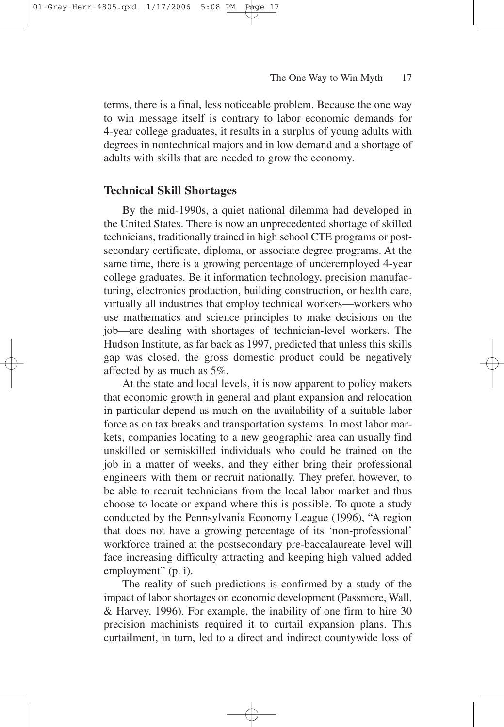$01$ -Grav

terms, there is a final, less noticeable problem. Because the one way to win message itself is contrary to labor economic demands for 4-year college graduates, it results in a surplus of young adults with degrees in nontechnical majors and in low demand and a shortage of adults with skills that are needed to grow the economy.

### **Technical Skill Shortages**

By the mid-1990s, a quiet national dilemma had developed in the United States. There is now an unprecedented shortage of skilled technicians, traditionally trained in high school CTE programs or postsecondary certificate, diploma, or associate degree programs. At the same time, there is a growing percentage of underemployed 4-year college graduates. Be it information technology, precision manufacturing, electronics production, building construction, or health care, virtually all industries that employ technical workers—workers who use mathematics and science principles to make decisions on the job—are dealing with shortages of technician-level workers. The Hudson Institute, as far back as 1997, predicted that unless this skills gap was closed, the gross domestic product could be negatively affected by as much as 5%.

At the state and local levels, it is now apparent to policy makers that economic growth in general and plant expansion and relocation in particular depend as much on the availability of a suitable labor force as on tax breaks and transportation systems. In most labor markets, companies locating to a new geographic area can usually find unskilled or semiskilled individuals who could be trained on the job in a matter of weeks, and they either bring their professional engineers with them or recruit nationally. They prefer, however, to be able to recruit technicians from the local labor market and thus choose to locate or expand where this is possible. To quote a study conducted by the Pennsylvania Economy League (1996), "A region that does not have a growing percentage of its 'non-professional' workforce trained at the postsecondary pre-baccalaureate level will face increasing difficulty attracting and keeping high valued added employment" (p. i).

The reality of such predictions is confirmed by a study of the impact of labor shortages on economic development (Passmore, Wall, & Harvey, 1996). For example, the inability of one firm to hire 30 precision machinists required it to curtail expansion plans. This curtailment, in turn, led to a direct and indirect countywide loss of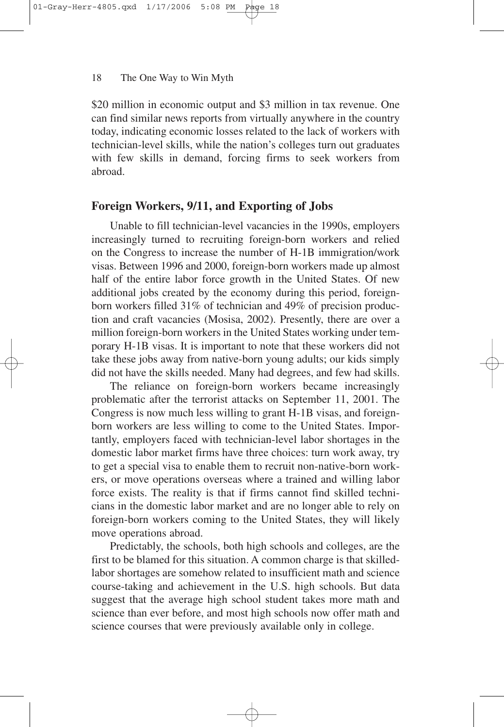\$20 million in economic output and \$3 million in tax revenue. One can find similar news reports from virtually anywhere in the country today, indicating economic losses related to the lack of workers with technician-level skills, while the nation's colleges turn out graduates with few skills in demand, forcing firms to seek workers from abroad.

### **Foreign Workers, 9/11, and Exporting of Jobs**

Unable to fill technician-level vacancies in the 1990s, employers increasingly turned to recruiting foreign-born workers and relied on the Congress to increase the number of H-1B immigration/work visas. Between 1996 and 2000, foreign-born workers made up almost half of the entire labor force growth in the United States. Of new additional jobs created by the economy during this period, foreignborn workers filled 31% of technician and 49% of precision production and craft vacancies (Mosisa, 2002). Presently, there are over a million foreign-born workers in the United States working under temporary H-1B visas. It is important to note that these workers did not take these jobs away from native-born young adults; our kids simply did not have the skills needed. Many had degrees, and few had skills.

The reliance on foreign-born workers became increasingly problematic after the terrorist attacks on September 11, 2001. The Congress is now much less willing to grant H-1B visas, and foreignborn workers are less willing to come to the United States. Importantly, employers faced with technician-level labor shortages in the domestic labor market firms have three choices: turn work away, try to get a special visa to enable them to recruit non-native-born workers, or move operations overseas where a trained and willing labor force exists. The reality is that if firms cannot find skilled technicians in the domestic labor market and are no longer able to rely on foreign-born workers coming to the United States, they will likely move operations abroad.

Predictably, the schools, both high schools and colleges, are the first to be blamed for this situation. A common charge is that skilledlabor shortages are somehow related to insufficient math and science course-taking and achievement in the U.S. high schools. But data suggest that the average high school student takes more math and science than ever before, and most high schools now offer math and science courses that were previously available only in college.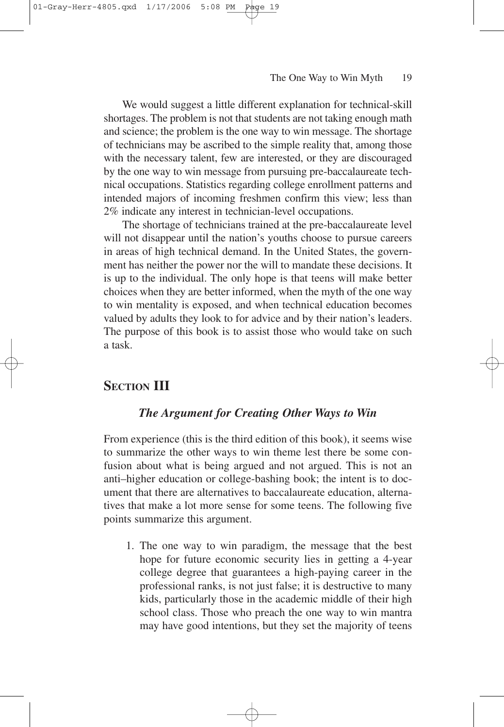We would suggest a little different explanation for technical-skill shortages. The problem is not that students are not taking enough math and science; the problem is the one way to win message. The shortage of technicians may be ascribed to the simple reality that, among those with the necessary talent, few are interested, or they are discouraged by the one way to win message from pursuing pre-baccalaureate technical occupations. Statistics regarding college enrollment patterns and intended majors of incoming freshmen confirm this view; less than 2% indicate any interest in technician-level occupations.

The shortage of technicians trained at the pre-baccalaureate level will not disappear until the nation's youths choose to pursue careers in areas of high technical demand. In the United States, the government has neither the power nor the will to mandate these decisions. It is up to the individual. The only hope is that teens will make better choices when they are better informed, when the myth of the one way to win mentality is exposed, and when technical education becomes valued by adults they look to for advice and by their nation's leaders. The purpose of this book is to assist those who would take on such a task.

### **SECTION III**

### *The Argument for Creating Other Ways to Win*

From experience (this is the third edition of this book), it seems wise to summarize the other ways to win theme lest there be some confusion about what is being argued and not argued. This is not an anti–higher education or college-bashing book; the intent is to document that there are alternatives to baccalaureate education, alternatives that make a lot more sense for some teens. The following five points summarize this argument.

1. The one way to win paradigm, the message that the best hope for future economic security lies in getting a 4-year college degree that guarantees a high-paying career in the professional ranks, is not just false; it is destructive to many kids, particularly those in the academic middle of their high school class. Those who preach the one way to win mantra may have good intentions, but they set the majority of teens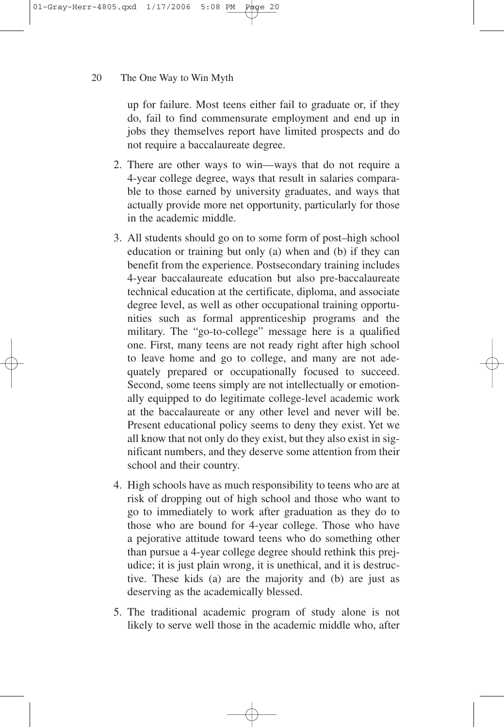up for failure. Most teens either fail to graduate or, if they do, fail to find commensurate employment and end up in jobs they themselves report have limited prospects and do not require a baccalaureate degree.

- 2. There are other ways to win—ways that do not require a 4-year college degree, ways that result in salaries comparable to those earned by university graduates, and ways that actually provide more net opportunity, particularly for those in the academic middle.
- 3. All students should go on to some form of post–high school education or training but only (a) when and (b) if they can benefit from the experience. Postsecondary training includes 4-year baccalaureate education but also pre-baccalaureate technical education at the certificate, diploma, and associate degree level, as well as other occupational training opportunities such as formal apprenticeship programs and the military. The "go-to-college" message here is a qualified one. First, many teens are not ready right after high school to leave home and go to college, and many are not adequately prepared or occupationally focused to succeed. Second, some teens simply are not intellectually or emotionally equipped to do legitimate college-level academic work at the baccalaureate or any other level and never will be. Present educational policy seems to deny they exist. Yet we all know that not only do they exist, but they also exist in significant numbers, and they deserve some attention from their school and their country.
- 4. High schools have as much responsibility to teens who are at risk of dropping out of high school and those who want to go to immediately to work after graduation as they do to those who are bound for 4-year college. Those who have a pejorative attitude toward teens who do something other than pursue a 4-year college degree should rethink this prejudice; it is just plain wrong, it is unethical, and it is destructive. These kids (a) are the majority and (b) are just as deserving as the academically blessed.
- 5. The traditional academic program of study alone is not likely to serve well those in the academic middle who, after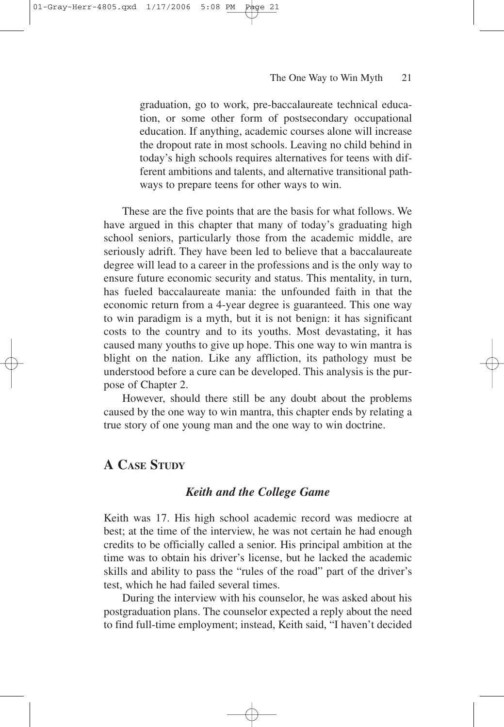graduation, go to work, pre-baccalaureate technical education, or some other form of postsecondary occupational education. If anything, academic courses alone will increase the dropout rate in most schools. Leaving no child behind in today's high schools requires alternatives for teens with different ambitions and talents, and alternative transitional pathways to prepare teens for other ways to win.

These are the five points that are the basis for what follows. We have argued in this chapter that many of today's graduating high school seniors, particularly those from the academic middle, are seriously adrift. They have been led to believe that a baccalaureate degree will lead to a career in the professions and is the only way to ensure future economic security and status. This mentality, in turn, has fueled baccalaureate mania: the unfounded faith in that the economic return from a 4-year degree is guaranteed. This one way to win paradigm is a myth, but it is not benign: it has significant costs to the country and to its youths. Most devastating, it has caused many youths to give up hope. This one way to win mantra is blight on the nation. Like any affliction, its pathology must be understood before a cure can be developed. This analysis is the purpose of Chapter 2.

However, should there still be any doubt about the problems caused by the one way to win mantra, this chapter ends by relating a true story of one young man and the one way to win doctrine.

### **A CASE STUDY**

01-Gray-Herr-4805.qxd 1/17/2006 5:08 PM Page 21

### *Keith and the College Game*

Keith was 17. His high school academic record was mediocre at best; at the time of the interview, he was not certain he had enough credits to be officially called a senior. His principal ambition at the time was to obtain his driver's license, but he lacked the academic skills and ability to pass the "rules of the road" part of the driver's test, which he had failed several times.

During the interview with his counselor, he was asked about his postgraduation plans. The counselor expected a reply about the need to find full-time employment; instead, Keith said, "I haven't decided